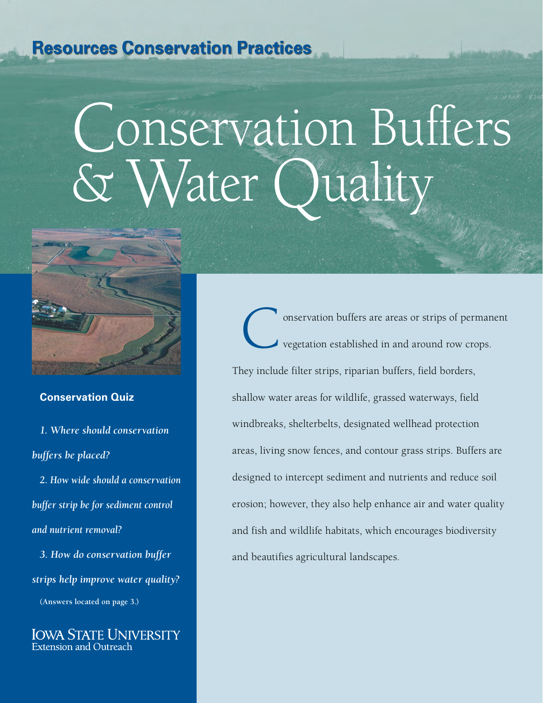## **Resources Conservation Practices**

# Conservation Buffers Vater Quality



#### **Conservation Quiz**

*1. Where should conservation buffers be placed?*

*2. How wide should a conservation buffer strip be for sediment control and nutrient removal?*

*3. How do conservation buffer strips help improve water quality?* **(Answers located on page 3.)**

Iowa State University Extension and Outreach

onservation buffers are areas or strips of permanent vegetation established in and around row crops. They include filter strips, riparian buffers, field borders, shallow water areas for wildlife, grassed waterways, field windbreaks, shelterbelts, designated wellhead protection areas, living snow fences, and contour grass strips. Buffers are designed to intercept sediment and nutrients and reduce soil erosion; however, they also help enhance air and water quality and fish and wildlife habitats, which encourages biodiversity and beautifies agricultural landscapes.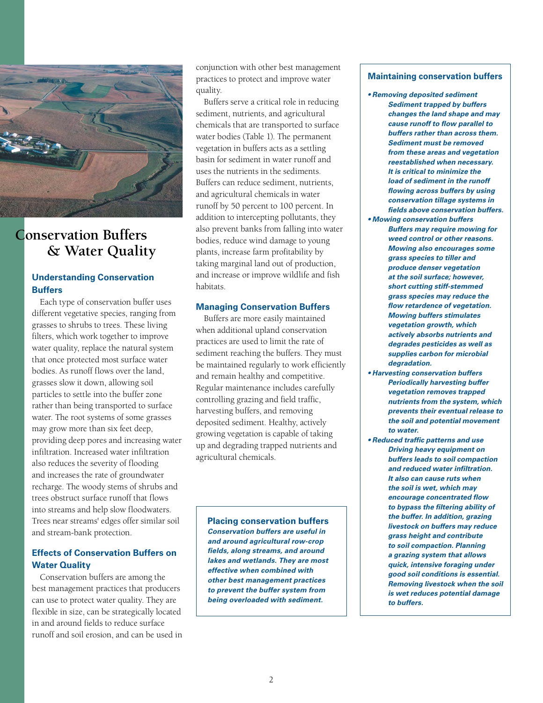

### **Conservation Buffers & Water Quality**

#### **Understanding Conservation Buffers**

Each type of conservation buffer uses different vegetative species, ranging from grasses to shrubs to trees. These living filters, which work together to improve water quality, replace the natural system that once protected most surface water bodies. As runoff flows over the land, grasses slow it down, allowing soil particles to settle into the buffer zone rather than being transported to surface water. The root systems of some grasses may grow more than six feet deep, providing deep pores and increasing water infiltration. Increased water infiltration also reduces the severity of flooding and increases the rate of groundwater recharge. The woody stems of shrubs and trees obstruct surface runoff that flows into streams and help slow floodwaters. Trees near streams' edges offer similar soil and stream-bank protection.

#### **Effects of Conservation Buffers on Water Quality**

Conservation buffers are among the best management practices that producers can use to protect water quality. They are flexible in size, can be strategically located in and around fields to reduce surface runoff and soil erosion, and can be used in conjunction with other best management practices to protect and improve water quality.

Buffers serve a critical role in reducing sediment, nutrients, and agricultural chemicals that are transported to surface water bodies (Table 1). The permanent vegetation in buffers acts as a settling basin for sediment in water runoff and uses the nutrients in the sediments. Buffers can reduce sediment, nutrients, and agricultural chemicals in water runoff by 50 percent to 100 percent. In addition to intercepting pollutants, they also prevent banks from falling into water bodies, reduce wind damage to young plants, increase farm profitability by taking marginal land out of production, and increase or improve wildlife and fish habitats.

#### **Managing Conservation Buffers**

Buffers are more easily maintained when additional upland conservation practices are used to limit the rate of sediment reaching the buffers. They must be maintained regularly to work efficiently and remain healthy and competitive. Regular maintenance includes carefully controlling grazing and field traffic, harvesting buffers, and removing deposited sediment. Healthy, actively growing vegetation is capable of taking up and degrading trapped nutrients and agricultural chemicals.

**Placing conservation buffers** *Conservation buffers are useful in and around agricultural row-crop fields, along streams, and around lakes and wetlands. They are most effective when combined with other best management practices to prevent the buffer system from being overloaded with sediment.* 

#### **Maintaining conservation buffers**

- *Removing deposited sediment Sediment trapped by buffers changes the land shape and may cause runoff to flow parallel to buffers rather than across them. Sediment must be removed from these areas and vegetation reestablished when necessary. It is critical to minimize the load of sediment in the runoff flowing across buffers by using conservation tillage systems in fields above conservation buffers.*
- *Mowing conservation buffers Buffers may require mowing for weed control or other reasons. Mowing also encourages some grass species to tiller and produce denser vegetation at the soil surface; however, short cutting stiff-stemmed grass species may reduce the flow retardence of vegetation. Mowing buffers stimulates vegetation growth, which actively absorbs nutrients and degrades pesticides as well as supplies carbon for microbial degradation.*
- *Harvesting conservation buffers Periodically harvesting buffer vegetation removes trapped nutrients from the system, which prevents their eventual release to the soil and potential movement to water.*
- *Reduced traffic patterns and use Driving heavy equipment on buffers leads to soil compaction and reduced water infiltration. It also can cause ruts when the soil is wet, which may encourage concentrated flow to bypass the filtering ability of the buffer. In addition, grazing livestock on buffers may reduce grass height and contribute to soil compaction. Planning a grazing system that allows quick, intensive foraging under good soil conditions is essential. Removing livestock when the soil is wet reduces potential damage to buffers.*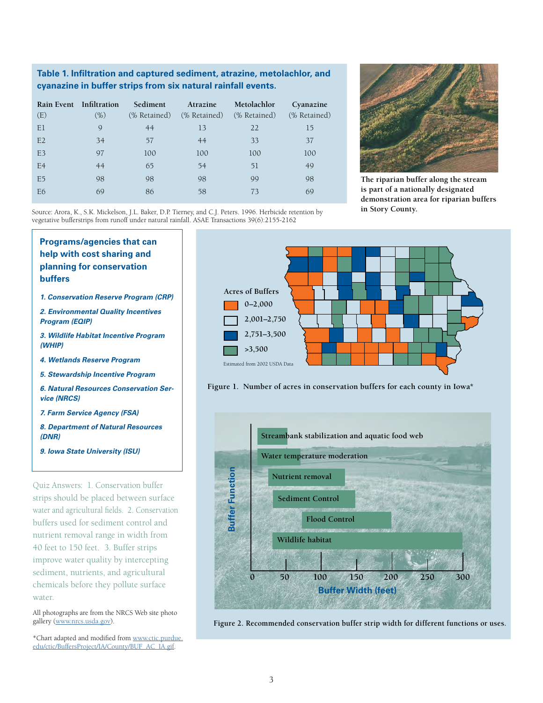#### **Table 1. Infiltration and captured sediment, atrazine, metolachlor, and cyanazine in buffer strips from six natural rainfall events.**

| (E)            | Rain Event Infiltration<br>$(\% )$ | Sediment<br>(% Retained) | Atrazine<br>(% Retained) | Metolachlor<br>(% Retained) | Cyanazine<br>(% Retained) |
|----------------|------------------------------------|--------------------------|--------------------------|-----------------------------|---------------------------|
|                |                                    |                          |                          |                             |                           |
| E1             | 9                                  | 44                       | 13                       | 22                          | 15                        |
| E2             | 34                                 | 57                       | 44                       | 33                          | 37                        |
| E <sub>3</sub> | 97                                 | 100                      | 100                      | 100                         | 100                       |
| E <sub>4</sub> | 44                                 | 65                       | 54                       | 51                          | 49                        |
| E <sub>5</sub> | 98                                 | 98                       | 98                       | 99                          | 98                        |
| E6             | 69                                 | 86                       | 58                       | 73                          | 69                        |
|                |                                    |                          |                          |                             |                           |



**The riparian buffer along the stream is part of a nationally designated demonstration area for riparian buffers in Story County.** 

Source: Arora, K., S.K. Mickelson, J.L. Baker, D.P. Tierney, and C.J. Peters. 1996. Herbicide retention by vegetative bufferstrips from runoff under natural rainfall. ASAE Transactions 39(6):2155-2162







**Figure 2. Recommended conservation buffer strip width for different functions or uses.**

**Programs/agencies that can help with cost sharing and planning for conservation buffers** *1. Conservation Reserve Program (CRP) 2. Environmental Quality Incentives* 

*Program (EQIP)*

*3. Wildlife Habitat Incentive Program (WHIP)*

*4. Wetlands Reserve Program*

*5. Stewardship Incentive Program*

*6. Natural Resources Conservation Service (NRCS)*

*7. Farm Service Agency (FSA)*

*8. Department of Natural Resources (DNR)*

*9. Iowa State University (ISU)*

Quiz Answers: 1. Conservation buffer strips should be placed between surface water and agricultural fields. 2. Conservation buffers used for sediment control and nutrient removal range in width from 40 feet to 150 feet. 3. Buffer strips improve water quality by intercepting sediment, nutrients, and agricultural chemicals before they pollute surface water.

All photographs are from the NRCS Web site photo gallery ([www.nrcs.usda.gov\)](www.nrcs.usda.gov).

\*Chart adapted and modified from [www.ctic.purdue.](www.ctic.purdue.edu/ctic/BuffersProject/IA/County/BUF_AC_IA.gif) [edu/ctic/BuffersProject/IA/County/BUF\\_AC\\_IA.gif](www.ctic.purdue.edu/ctic/BuffersProject/IA/County/BUF_AC_IA.gif).